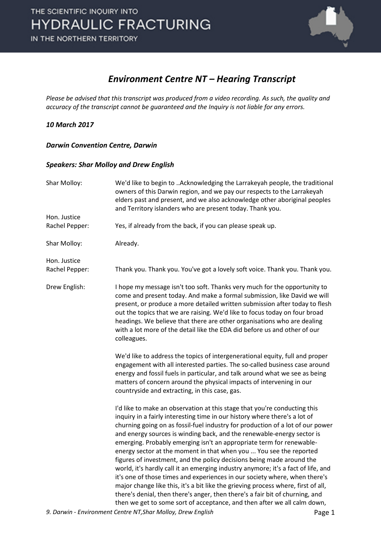

### *Environment Centre NT – Hearing Transcript*

*Please be advised that this transcript was produced from a video recording. As such, the quality and accuracy of the transcript cannot be guaranteed and the Inquiry is not liable for any errors.*

#### *10 March 2017*

#### *Darwin Convention Centre, Darwin*

#### *Speakers: Shar Molloy and Drew English*

| Shar Molloy:   | We'd like to begin to Acknowledging the Larrakeyah people, the traditional<br>owners of this Darwin region, and we pay our respects to the Larrakeyah<br>elders past and present, and we also acknowledge other aboriginal peoples<br>and Territory islanders who are present today. Thank you.                                                                                                                                                                                                                                                                                                                                                                                                                                                                                                                                                                                                                                                                |
|----------------|----------------------------------------------------------------------------------------------------------------------------------------------------------------------------------------------------------------------------------------------------------------------------------------------------------------------------------------------------------------------------------------------------------------------------------------------------------------------------------------------------------------------------------------------------------------------------------------------------------------------------------------------------------------------------------------------------------------------------------------------------------------------------------------------------------------------------------------------------------------------------------------------------------------------------------------------------------------|
| Hon. Justice   |                                                                                                                                                                                                                                                                                                                                                                                                                                                                                                                                                                                                                                                                                                                                                                                                                                                                                                                                                                |
| Rachel Pepper: | Yes, if already from the back, if you can please speak up.                                                                                                                                                                                                                                                                                                                                                                                                                                                                                                                                                                                                                                                                                                                                                                                                                                                                                                     |
| Shar Molloy:   | Already.                                                                                                                                                                                                                                                                                                                                                                                                                                                                                                                                                                                                                                                                                                                                                                                                                                                                                                                                                       |
| Hon. Justice   |                                                                                                                                                                                                                                                                                                                                                                                                                                                                                                                                                                                                                                                                                                                                                                                                                                                                                                                                                                |
| Rachel Pepper: | Thank you. Thank you. You've got a lovely soft voice. Thank you. Thank you.                                                                                                                                                                                                                                                                                                                                                                                                                                                                                                                                                                                                                                                                                                                                                                                                                                                                                    |
| Drew English:  | I hope my message isn't too soft. Thanks very much for the opportunity to<br>come and present today. And make a formal submission, like David we will<br>present, or produce a more detailed written submission after today to flesh<br>out the topics that we are raising. We'd like to focus today on four broad<br>headings. We believe that there are other organisations who are dealing<br>with a lot more of the detail like the EDA did before us and other of our<br>colleagues.                                                                                                                                                                                                                                                                                                                                                                                                                                                                      |
|                | We'd like to address the topics of intergenerational equity, full and proper<br>engagement with all interested parties. The so-called business case around<br>energy and fossil fuels in particular, and talk around what we see as being<br>matters of concern around the physical impacts of intervening in our<br>countryside and extracting, in this case, gas.                                                                                                                                                                                                                                                                                                                                                                                                                                                                                                                                                                                            |
|                | I'd like to make an observation at this stage that you're conducting this<br>inquiry in a fairly interesting time in our history where there's a lot of<br>churning going on as fossil-fuel industry for production of a lot of our power<br>and energy sources is winding back, and the renewable-energy sector is<br>emerging. Probably emerging isn't an appropriate term for renewable-<br>energy sector at the moment in that when you  You see the reported<br>figures of investment, and the policy decisions being made around the<br>world, it's hardly call it an emerging industry anymore; it's a fact of life, and<br>it's one of those times and experiences in our society where, when there's<br>major change like this, it's a bit like the grieving process where, first of all,<br>there's denial, then there's anger, then there's a fair bit of churning, and<br>then we get to some sort of acceptance, and then after we all calm down, |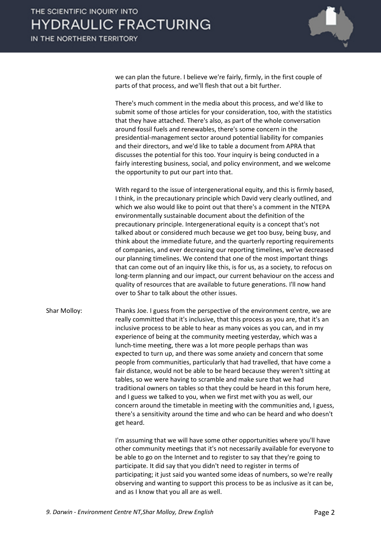

we can plan the future. I believe we're fairly, firmly, in the first couple of parts of that process, and we'll flesh that out a bit further.

There's much comment in the media about this process, and we'd like to submit some of those articles for your consideration, too, with the statistics that they have attached. There's also, as part of the whole conversation around fossil fuels and renewables, there's some concern in the presidential-management sector around potential liability for companies and their directors, and we'd like to table a document from APRA that discusses the potential for this too. Your inquiry is being conducted in a fairly interesting business, social, and policy environment, and we welcome the opportunity to put our part into that.

With regard to the issue of intergenerational equity, and this is firmly based, I think, in the precautionary principle which David very clearly outlined, and which we also would like to point out that there's a comment in the NTEPA environmentally sustainable document about the definition of the precautionary principle. Intergenerational equity is a concept that's not talked about or considered much because we get too busy, being busy, and think about the immediate future, and the quarterly reporting requirements of companies, and ever decreasing our reporting timelines, we've decreased our planning timelines. We contend that one of the most important things that can come out of an inquiry like this, is for us, as a society, to refocus on long-term planning and our impact, our current behaviour on the access and quality of resources that are available to future generations. I'll now hand over to Shar to talk about the other issues.

Shar Molloy: Thanks Joe. I guess from the perspective of the environment centre, we are really committed that it's inclusive, that this process as you are, that it's an inclusive process to be able to hear as many voices as you can, and in my experience of being at the community meeting yesterday, which was a lunch-time meeting, there was a lot more people perhaps than was expected to turn up, and there was some anxiety and concern that some people from communities, particularly that had travelled, that have come a fair distance, would not be able to be heard because they weren't sitting at tables, so we were having to scramble and make sure that we had traditional owners on tables so that they could be heard in this forum here, and I guess we talked to you, when we first met with you as well, our concern around the timetable in meeting with the communities and, I guess, there's a sensitivity around the time and who can be heard and who doesn't get heard.

> I'm assuming that we will have some other opportunities where you'll have other community meetings that it's not necessarily available for everyone to be able to go on the Internet and to register to say that they're going to participate. It did say that you didn't need to register in terms of participating; it just said you wanted some ideas of numbers, so we're really observing and wanting to support this process to be as inclusive as it can be, and as I know that you all are as well.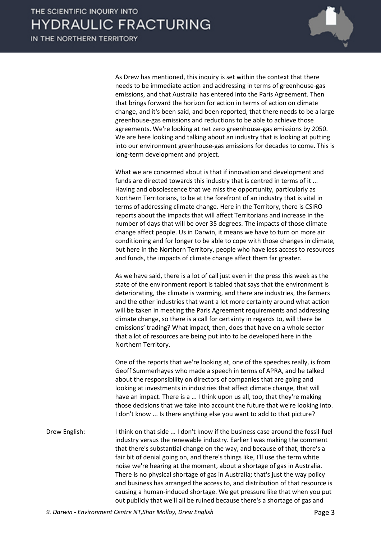

As Drew has mentioned, this inquiry is set within the context that there needs to be immediate action and addressing in terms of greenhouse-gas emissions, and that Australia has entered into the Paris Agreement. Then that brings forward the horizon for action in terms of action on climate change, and it's been said, and been reported, that there needs to be a large greenhouse-gas emissions and reductions to be able to achieve those agreements. We're looking at net zero greenhouse-gas emissions by 2050. We are here looking and talking about an industry that is looking at putting into our environment greenhouse-gas emissions for decades to come. This is long-term development and project.

What we are concerned about is that if innovation and development and funds are directed towards this industry that is centred in terms of it ... Having and obsolescence that we miss the opportunity, particularly as Northern Territorians, to be at the forefront of an industry that is vital in terms of addressing climate change. Here in the Territory, there is CSIRO reports about the impacts that will affect Territorians and increase in the number of days that will be over 35 degrees. The impacts of those climate change affect people. Us in Darwin, it means we have to turn on more air conditioning and for longer to be able to cope with those changes in climate, but here in the Northern Territory, people who have less access to resources and funds, the impacts of climate change affect them far greater.

As we have said, there is a lot of call just even in the press this week as the state of the environment report is tabled that says that the environment is deteriorating, the climate is warming, and there are industries, the farmers and the other industries that want a lot more certainty around what action will be taken in meeting the Paris Agreement requirements and addressing climate change, so there is a call for certainty in regards to, will there be emissions' trading? What impact, then, does that have on a whole sector that a lot of resources are being put into to be developed here in the Northern Territory.

One of the reports that we're looking at, one of the speeches really, is from Geoff Summerhayes who made a speech in terms of APRA, and he talked about the responsibility on directors of companies that are going and looking at investments in industries that affect climate change, that will have an impact. There is a ... I think upon us all, too, that they're making those decisions that we take into account the future that we're looking into. I don't know ... Is there anything else you want to add to that picture?

Drew English: I think on that side ... I don't know if the business case around the fossil-fuel industry versus the renewable industry. Earlier I was making the comment that there's substantial change on the way, and because of that, there's a fair bit of denial going on, and there's things like, I'll use the term white noise we're hearing at the moment, about a shortage of gas in Australia. There is no physical shortage of gas in Australia; that's just the way policy and business has arranged the access to, and distribution of that resource is causing a human-induced shortage. We get pressure like that when you put out publicly that we'll all be ruined because there's a shortage of gas and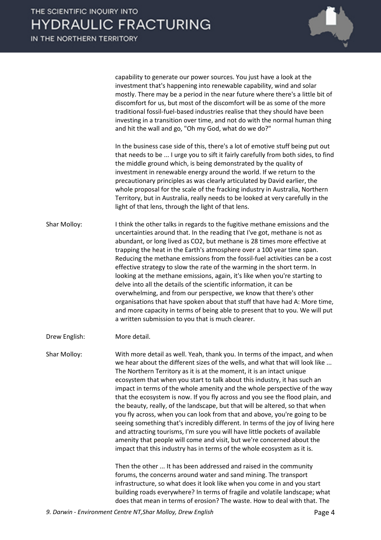capability to generate our power sources. You just have a look at the investment that's happening into renewable capability, wind and solar mostly. There may be a period in the near future where there's a little bit of discomfort for us, but most of the discomfort will be as some of the more traditional fossil-fuel-based industries realise that they should have been investing in a transition over time, and not do with the normal human thing and hit the wall and go, "Oh my God, what do we do?"

In the business case side of this, there's a lot of emotive stuff being put out that needs to be ... I urge you to sift it fairly carefully from both sides, to find the middle ground which, is being demonstrated by the quality of investment in renewable energy around the world. If we return to the precautionary principles as was clearly articulated by David earlier, the whole proposal for the scale of the fracking industry in Australia, Northern Territory, but in Australia, really needs to be looked at very carefully in the light of that lens, through the light of that lens.

Shar Molloy: I think the other talks in regards to the fugitive methane emissions and the uncertainties around that. In the reading that I've got, methane is not as abundant, or long lived as CO2, but methane is 28 times more effective at trapping the heat in the Earth's atmosphere over a 100 year time span. Reducing the methane emissions from the fossil-fuel activities can be a cost effective strategy to slow the rate of the warming in the short term. In looking at the methane emissions, again, it's like when you're starting to delve into all the details of the scientific information, it can be overwhelming, and from our perspective, we know that there's other organisations that have spoken about that stuff that have had A: More time, and more capacity in terms of being able to present that to you. We will put a written submission to you that is much clearer.

Drew English: More detail.

Shar Molloy: With more detail as well. Yeah, thank you. In terms of the impact, and when we hear about the different sizes of the wells, and what that will look like ... The Northern Territory as it is at the moment, it is an intact unique ecosystem that when you start to talk about this industry, it has such an impact in terms of the whole amenity and the whole perspective of the way that the ecosystem is now. If you fly across and you see the flood plain, and the beauty, really, of the landscape, but that will be altered, so that when you fly across, when you can look from that and above, you're going to be seeing something that's incredibly different. In terms of the joy of living here and attracting tourisms, I'm sure you will have little pockets of available amenity that people will come and visit, but we're concerned about the impact that this industry has in terms of the whole ecosystem as it is.

> Then the other ... It has been addressed and raised in the community forums, the concerns around water and sand mining. The transport infrastructure, so what does it look like when you come in and you start building roads everywhere? In terms of fragile and volatile landscape; what does that mean in terms of erosion? The waste. How to deal with that. The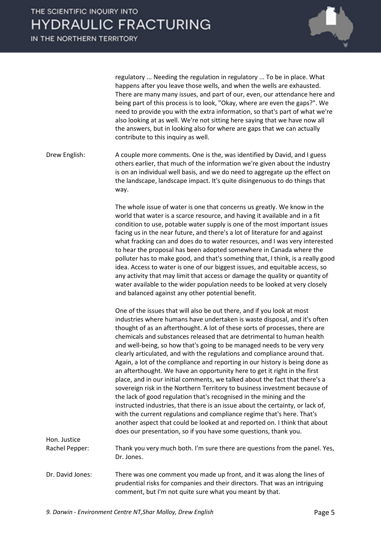

regulatory ... Needing the regulation in regulatory ... To be in place. What happens after you leave those wells, and when the wells are exhausted. There are many many issues, and part of our, even, our attendance here and being part of this process is to look, "Okay, where are even the gaps?". We need to provide you with the extra information, so that's part of what we're also looking at as well. We're not sitting here saying that we have now all the answers, but in looking also for where are gaps that we can actually contribute to this inquiry as well.

Drew English: A couple more comments. One is the, was identified by David, and I guess others earlier, that much of the information we're given about the industry is on an individual well basis, and we do need to aggregate up the effect on the landscape, landscape impact. It's quite disingenuous to do things that way.

> The whole issue of water is one that concerns us greatly. We know in the world that water is a scarce resource, and having it available and in a fit condition to use, potable water supply is one of the most important issues facing us in the near future, and there's a lot of literature for and against what fracking can and does do to water resources, and I was very interested to hear the proposal has been adopted somewhere in Canada where the polluter has to make good, and that's something that, I think, is a really good idea. Access to water is one of our biggest issues, and equitable access, so any activity that may limit that access or damage the quality or quantity of water available to the wider population needs to be looked at very closely and balanced against any other potential benefit.

One of the issues that will also be out there, and if you look at most industries where humans have undertaken is waste disposal, and it's often thought of as an afterthought. A lot of these sorts of processes, there are chemicals and substances released that are detrimental to human health and well-being, so how that's going to be managed needs to be very very clearly articulated, and with the regulations and compliance around that. Again, a lot of the compliance and reporting in our history is being done as an afterthought. We have an opportunity here to get it right in the first place, and in our initial comments, we talked about the fact that there's a sovereign risk in the Northern Territory to business investment because of the lack of good regulation that's recognised in the mining and the instructed industries, that there is an issue about the certainty, or lack of, with the current regulations and compliance regime that's here. That's another aspect that could be looked at and reported on. I think that about does our presentation, so if you have some questions, thank you.

Rachel Pepper: Thank you very much both. I'm sure there are questions from the panel. Yes, Dr. Jones.

Dr. David Jones: There was one comment you made up front, and it was along the lines of prudential risks for companies and their directors. That was an intriguing comment, but I'm not quite sure what you meant by that.

Hon. Justice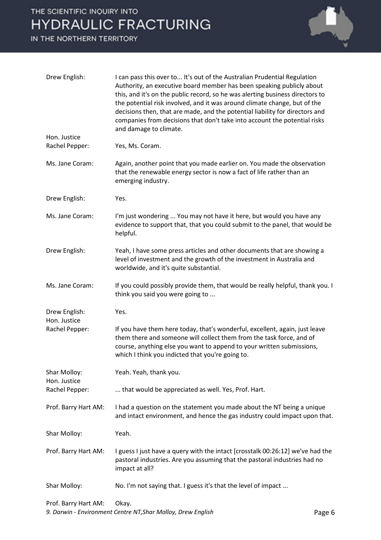## THE SCIENTIFIC INQUIRY INTO **HYDRAULIC FRACTURING**

IN THE NORTHERN TERRITORY



| Drew English:                  | I can pass this over to It's out of the Australian Prudential Regulation<br>Authority, an executive board member has been speaking publicly about<br>this, and it's on the public record, so he was alerting business directors to<br>the potential risk involved, and it was around climate change, but of the<br>decisions then, that are made, and the potential liability for directors and<br>companies from decisions that don't take into account the potential risks<br>and damage to climate. |
|--------------------------------|--------------------------------------------------------------------------------------------------------------------------------------------------------------------------------------------------------------------------------------------------------------------------------------------------------------------------------------------------------------------------------------------------------------------------------------------------------------------------------------------------------|
| Hon. Justice<br>Rachel Pepper: | Yes, Ms. Coram.                                                                                                                                                                                                                                                                                                                                                                                                                                                                                        |
| Ms. Jane Coram:                | Again, another point that you made earlier on. You made the observation<br>that the renewable energy sector is now a fact of life rather than an<br>emerging industry.                                                                                                                                                                                                                                                                                                                                 |
| Drew English:                  | Yes.                                                                                                                                                                                                                                                                                                                                                                                                                                                                                                   |
| Ms. Jane Coram:                | I'm just wondering  You may not have it here, but would you have any<br>evidence to support that, that you could submit to the panel, that would be<br>helpful.                                                                                                                                                                                                                                                                                                                                        |
| Drew English:                  | Yeah, I have some press articles and other documents that are showing a<br>level of investment and the growth of the investment in Australia and<br>worldwide, and it's quite substantial.                                                                                                                                                                                                                                                                                                             |
| Ms. Jane Coram:                | If you could possibly provide them, that would be really helpful, thank you. I<br>think you said you were going to                                                                                                                                                                                                                                                                                                                                                                                     |
| Drew English:<br>Hon. Justice  | Yes.                                                                                                                                                                                                                                                                                                                                                                                                                                                                                                   |
| Rachel Pepper:                 | If you have them here today, that's wonderful, excellent, again, just leave<br>them there and someone will collect them from the task force, and of<br>course, anything else you want to append to your written submissions,<br>which I think you indicted that you're going to.                                                                                                                                                                                                                       |
| Shar Molloy:<br>Hon. Justice   | Yeah. Yeah, thank you.                                                                                                                                                                                                                                                                                                                                                                                                                                                                                 |
| Rachel Pepper:                 | that would be appreciated as well. Yes, Prof. Hart.                                                                                                                                                                                                                                                                                                                                                                                                                                                    |
| Prof. Barry Hart AM:           | I had a question on the statement you made about the NT being a unique<br>and intact environment, and hence the gas industry could impact upon that.                                                                                                                                                                                                                                                                                                                                                   |
| Shar Molloy:                   | Yeah.                                                                                                                                                                                                                                                                                                                                                                                                                                                                                                  |
| Prof. Barry Hart AM:           | I guess I just have a query with the intact [crosstalk 00:26:12] we've had the<br>pastoral industries. Are you assuming that the pastoral industries had no<br>impact at all?                                                                                                                                                                                                                                                                                                                          |
| Shar Molloy:                   | No. I'm not saying that. I guess it's that the level of impact                                                                                                                                                                                                                                                                                                                                                                                                                                         |
| Prof. Barry Hart AM:           | Okay.                                                                                                                                                                                                                                                                                                                                                                                                                                                                                                  |